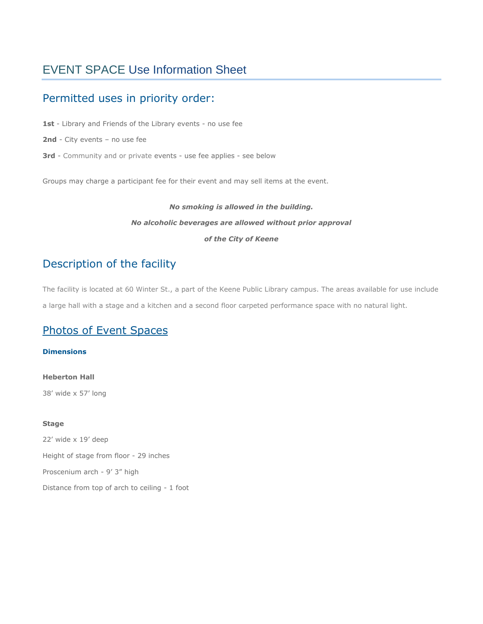# EVENT SPACE Use Information Sheet

# Permitted uses in priority order:

1st - Library and Friends of the Library events - no use fee

- **2nd** City events no use fee
- **3rd** Community and or private events use fee applies see below

Groups may charge a participant fee for their event and may sell items at the event.

# *No smoking is allowed in the building. No alcoholic beverages are allowed without prior approval of the City of Keene*

# Description of the facility

The facility is located at 60 Winter St., a part of the Keene Public Library campus. The areas available for use include a large hall with a stage and a kitchen and a second floor carpeted performance space with no natural light.

# [Photos of Event Spaces](https://ci.keene.nh.us/keene-public-library/event-space-photos)

**Dimensions**

**Heberton Hall** 38' wide x 57' long

### **Stage**

22' wide x 19' deep Height of stage from floor - 29 inches Proscenium arch - 9' 3" high Distance from top of arch to ceiling - 1 foot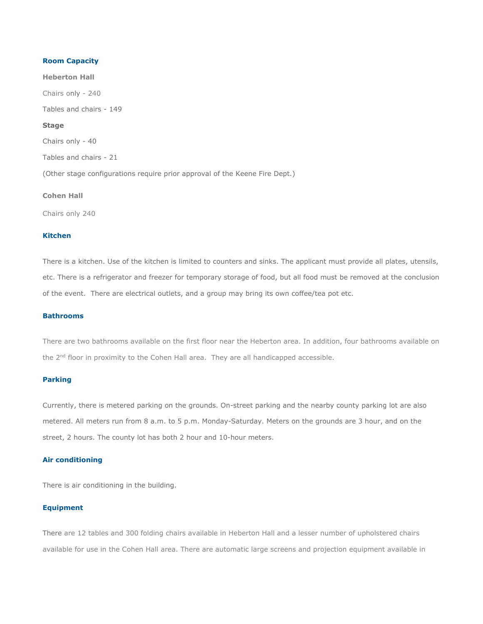### **Room Capacity**

**Heberton Hall** Chairs only - 240 Tables and chairs - 149 **Stage** Chairs only - 40 Tables and chairs - 21 (Other stage configurations require prior approval of the Keene Fire Dept.)

### **Cohen Hall**

Chairs only 240

### **Kitchen**

There is a kitchen. Use of the kitchen is limited to counters and sinks. The applicant must provide all plates, utensils, etc. There is a refrigerator and freezer for temporary storage of food, but all food must be removed at the conclusion of the event. There are electrical outlets, and a group may bring its own coffee/tea pot etc.

### **Bathrooms**

There are two bathrooms available on the first floor near the Heberton area. In addition, four bathrooms available on the  $2<sup>nd</sup>$  floor in proximity to the Cohen Hall area. They are all handicapped accessible.

### **Parking**

Currently, there is metered parking on the grounds. On-street parking and the nearby county parking lot are also metered. All meters run from 8 a.m. to 5 p.m. Monday-Saturday. Meters on the grounds are 3 hour, and on the street, 2 hours. The county lot has both 2 hour and 10-hour meters.

### **Air conditioning**

There is air conditioning in the building.

### **Equipment**

There are 12 tables and 300 folding chairs available in Heberton Hall and a lesser number of upholstered chairs available for use in the Cohen Hall area. There are automatic large screens and projection equipment available in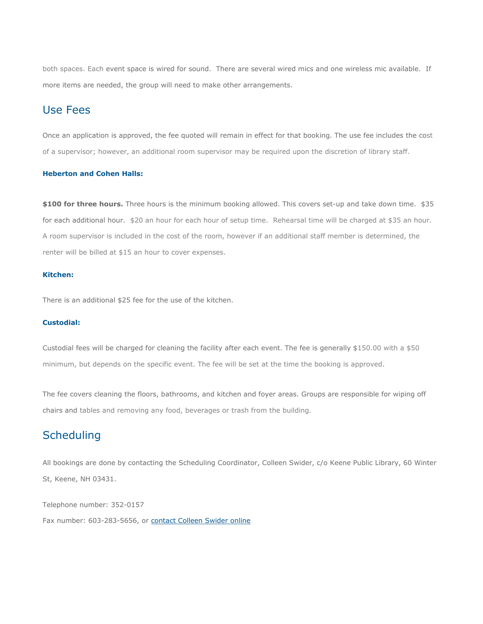both spaces. Each event space is wired for sound. There are several wired mics and one wireless mic available. If more items are needed, the group will need to make other arrangements.

## Use Fees

Once an application is approved, the fee quoted will remain in effect for that booking. The use fee includes the cost of a supervisor; however, an additional room supervisor may be required upon the discretion of library staff.

### **Heberton and Cohen Halls:**

**\$100 for three hours.** Three hours is the minimum booking allowed. This covers set-up and take down time. \$35 for each additional hour. \$20 an hour for each hour of setup time. Rehearsal time will be charged at \$35 an hour. A room supervisor is included in the cost of the room, however if an additional staff member is determined, the renter will be billed at \$15 an hour to cover expenses.

#### **Kitchen:**

There is an additional \$25 fee for the use of the kitchen.

#### **Custodial:**

Custodial fees will be charged for cleaning the facility after each event. The fee is generally \$150.00 with a \$50 minimum, but depends on the specific event. The fee will be set at the time the booking is approved.

The fee covers cleaning the floors, bathrooms, and kitchen and foyer areas. Groups are responsible for wiping off chairs and tables and removing any food, beverages or trash from the building.

# **Scheduling**

All bookings are done by contacting the Scheduling Coordinator, Colleen Swider, c/o Keene Public Library, 60 Winter St, Keene, NH 03431.

Telephone number: 352-0157 Fax number: 603-283-5656, or [contact Colleen Swider online](http://www.ci.keene.nh.us/services/citizen-request-form)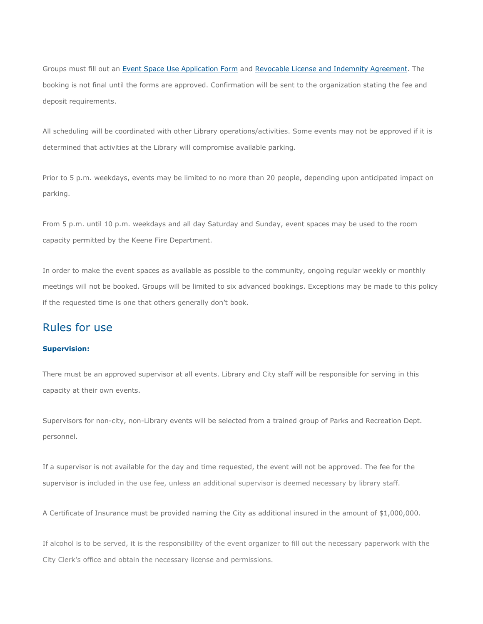Groups must fill out an Event Space [Use Application Form](https://ci.keene.nh.us/sites/default/files/Library/Event%20Application%20for%20New%20Space%20application.pdf) and [Revocable License and Indemnity Agreement.](https://ci.keene.nh.us/sites/default/files/Revocable%20License%20and%20Indemnification%20Agreement%205-19.pdf) The booking is not final until the forms are approved. Confirmation will be sent to the organization stating the fee and deposit requirements.

All scheduling will be coordinated with other Library operations/activities. Some events may not be approved if it is determined that activities at the Library will compromise available parking.

Prior to 5 p.m. weekdays, events may be limited to no more than 20 people, depending upon anticipated impact on parking.

From 5 p.m. until 10 p.m. weekdays and all day Saturday and Sunday, event spaces may be used to the room capacity permitted by the Keene Fire Department.

In order to make the event spaces as available as possible to the community, ongoing regular weekly or monthly meetings will not be booked. Groups will be limited to six advanced bookings. Exceptions may be made to this policy if the requested time is one that others generally don't book.

## Rules for use

### **Supervision:**

There must be an approved supervisor at all events. Library and City staff will be responsible for serving in this capacity at their own events.

Supervisors for non-city, non-Library events will be selected from a trained group of Parks and Recreation Dept. personnel.

If a supervisor is not available for the day and time requested, the event will not be approved. The fee for the supervisor is included in the use fee, unless an additional supervisor is deemed necessary by library staff.

A Certificate of Insurance must be provided naming the City as additional insured in the amount of \$1,000,000.

If alcohol is to be served, it is the responsibility of the event organizer to fill out the necessary paperwork with the City Clerk's office and obtain the necessary license and permissions.